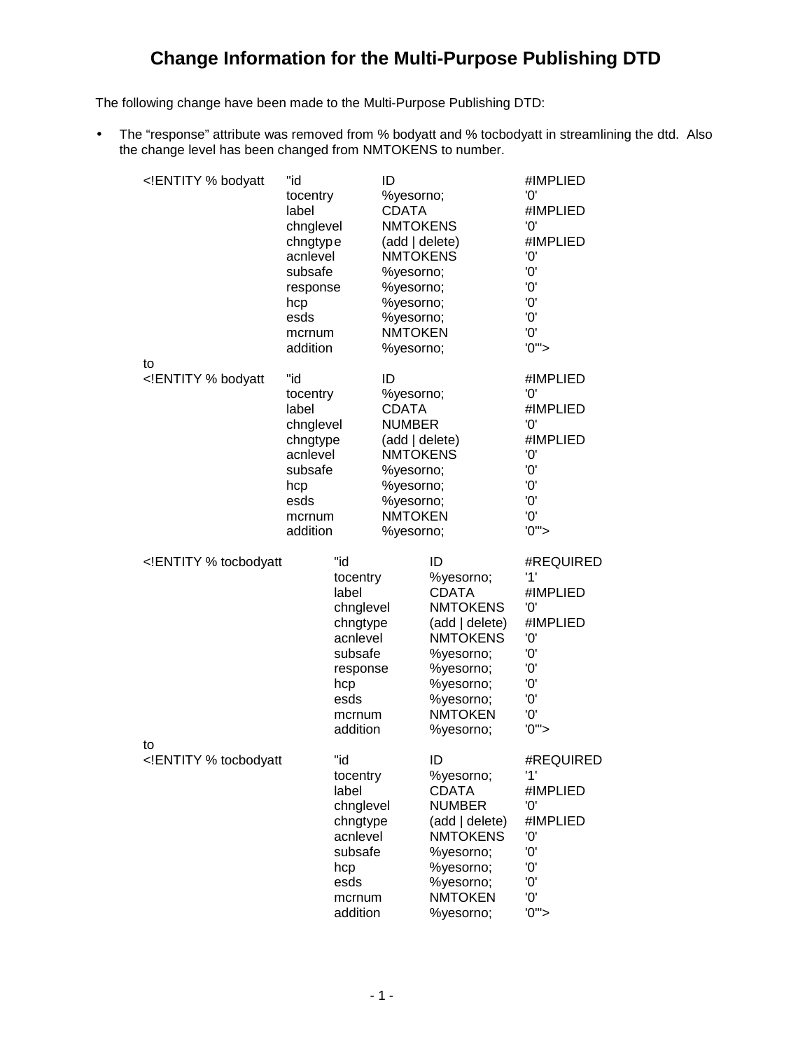The following change have been made to the Multi-Purpose Publishing DTD:

• The "response" attribute was removed from % bodyatt and % tocbodyatt in streamlining the dtd. Also the change level has been changed from NMTOKENS to number.

| ENTITY % bodyatt</th <th>"id<br/>tocentry<br/>label<br/>chnglevel<br/>chngtype<br/>acnlevel<br/>subsafe<br/>response<br/>hcp<br/>esds<br/>mcrnum<br/>addition</th> <th></th> <th>ID<br/>%yesorno;<br/><b>CDATA</b><br/><b>NMTOKENS</b><br/>(add   delete)<br/><b>NMTOKENS</b><br/>%yesorno;<br/>%yesorno;<br/>%yesorno;<br/>%yesorno;<br/><b>NMTOKEN</b><br/>%yesorno;</th> <th></th> <th>#IMPLIED<br/>'0'<br/>#IMPLIED<br/>'0'<br/>#IMPLIED<br/>'0'<br/>'0'<br/>'0'<br/>'0'<br/>'0'<br/>'0'<br/>'0''</th>     | "id<br>tocentry<br>label<br>chnglevel<br>chngtype<br>acnlevel<br>subsafe<br>response<br>hcp<br>esds<br>mcrnum<br>addition |                                                                                                                           | ID<br>%yesorno;<br><b>CDATA</b><br><b>NMTOKENS</b><br>(add   delete)<br><b>NMTOKENS</b><br>%yesorno;<br>%yesorno;<br>%yesorno;<br>%yesorno;<br><b>NMTOKEN</b><br>%yesorno; |                                                                                                                                                                            | #IMPLIED<br>'0'<br>#IMPLIED<br>'0'<br>#IMPLIED<br>'0'<br>'0'<br>'0'<br>'0'<br>'0'<br>'0'<br>'0''  |
|----------------------------------------------------------------------------------------------------------------------------------------------------------------------------------------------------------------------------------------------------------------------------------------------------------------------------------------------------------------------------------------------------------------------------------------------------------------------------------------------------------------|---------------------------------------------------------------------------------------------------------------------------|---------------------------------------------------------------------------------------------------------------------------|----------------------------------------------------------------------------------------------------------------------------------------------------------------------------|----------------------------------------------------------------------------------------------------------------------------------------------------------------------------|---------------------------------------------------------------------------------------------------|
| to<br>ENTITY % bodyatt</td <td>"id<br/>tocentry<br/>label<br/>chnglevel<br/>chngtype<br/>acnlevel<br/>subsafe<br/>hcp<br/>esds<br/>mcrnum<br/>addition</td> <td></td> <td>ID<br/>%yesorno;<br/><b>CDATA</b><br/><b>NUMBER</b><br/>(add   delete)<br/><b>NMTOKENS</b><br/>%yesorno;<br/>%yesorno;<br/>%yesorno;<br/><b>NMTOKEN</b><br/>%yesorno;</td> <td></td> <td>#IMPLIED<br/>'0'<br/>#IMPLIED<br/>'0'<br/>#IMPLIED<br/>'0'<br/>'0'<br/>'0'<br/>'0'<br/>'0'<br/>'0''</td>                                    | "id<br>tocentry<br>label<br>chnglevel<br>chngtype<br>acnlevel<br>subsafe<br>hcp<br>esds<br>mcrnum<br>addition             |                                                                                                                           | ID<br>%yesorno;<br><b>CDATA</b><br><b>NUMBER</b><br>(add   delete)<br><b>NMTOKENS</b><br>%yesorno;<br>%yesorno;<br>%yesorno;<br><b>NMTOKEN</b><br>%yesorno;                |                                                                                                                                                                            | #IMPLIED<br>'0'<br>#IMPLIED<br>'0'<br>#IMPLIED<br>'0'<br>'0'<br>'0'<br>'0'<br>'0'<br>'0''         |
| ENTITY % tocbodyatt</td <td></td> <td>"id<br/>tocentry<br/>label<br/>chnglevel<br/>chngtype<br/>acnlevel<br/>subsafe<br/>response<br/>hcp<br/>esds<br/>mcrnum<br/>addition</td> <td></td> <td>ID<br/>%yesorno;<br/><b>CDATA</b><br/><b>NMTOKENS</b><br/>(add   delete)<br/><b>NMTOKENS</b><br/>%yesorno;<br/>%yesorno;<br/>%yesorno;<br/>%yesorno;<br/><b>NMTOKEN</b><br/>%yesorno;</td> <td>#REQUIRED<br/>'1'<br/>#IMPLIED<br/>'O'<br/>#IMPLIED<br/>'0'<br/>'Ο'<br/>'0'<br/>'Ο'<br/>'Ο'<br/>'Ο'<br/>'0''</td> |                                                                                                                           | "id<br>tocentry<br>label<br>chnglevel<br>chngtype<br>acnlevel<br>subsafe<br>response<br>hcp<br>esds<br>mcrnum<br>addition |                                                                                                                                                                            | ID<br>%yesorno;<br><b>CDATA</b><br><b>NMTOKENS</b><br>(add   delete)<br><b>NMTOKENS</b><br>%yesorno;<br>%yesorno;<br>%yesorno;<br>%yesorno;<br><b>NMTOKEN</b><br>%yesorno; | #REQUIRED<br>'1'<br>#IMPLIED<br>'O'<br>#IMPLIED<br>'0'<br>'Ο'<br>'0'<br>'Ο'<br>'Ο'<br>'Ο'<br>'0'' |
| to<br>ENTITY % tocbodyatt</td <td></td> <td>"id<br/>tocentry<br/>label<br/>chnglevel<br/>chngtype<br/>acnlevel<br/>subsafe<br/>hcp<br/>esds<br/>mcrnum<br/>addition</td> <td></td> <td>ID<br/>%yesorno;<br/><b>CDATA</b><br/><b>NUMBER</b><br/>(add   delete)<br/><b>NMTOKENS</b><br/>%yesorno;<br/>%yesorno;<br/>%yesorno;<br/><b>NMTOKEN</b><br/>%yesorno;</td> <td>#REQUIRED<br/>'1'<br/>#IMPLIED<br/>'0'<br/>#IMPLIED<br/>'0'<br/>'Ο'<br/>'O'<br/>'O'<br/>'0'<br/>'0''</td>                                |                                                                                                                           | "id<br>tocentry<br>label<br>chnglevel<br>chngtype<br>acnlevel<br>subsafe<br>hcp<br>esds<br>mcrnum<br>addition             |                                                                                                                                                                            | ID<br>%yesorno;<br><b>CDATA</b><br><b>NUMBER</b><br>(add   delete)<br><b>NMTOKENS</b><br>%yesorno;<br>%yesorno;<br>%yesorno;<br><b>NMTOKEN</b><br>%yesorno;                | #REQUIRED<br>'1'<br>#IMPLIED<br>'0'<br>#IMPLIED<br>'0'<br>'Ο'<br>'O'<br>'O'<br>'0'<br>'0''        |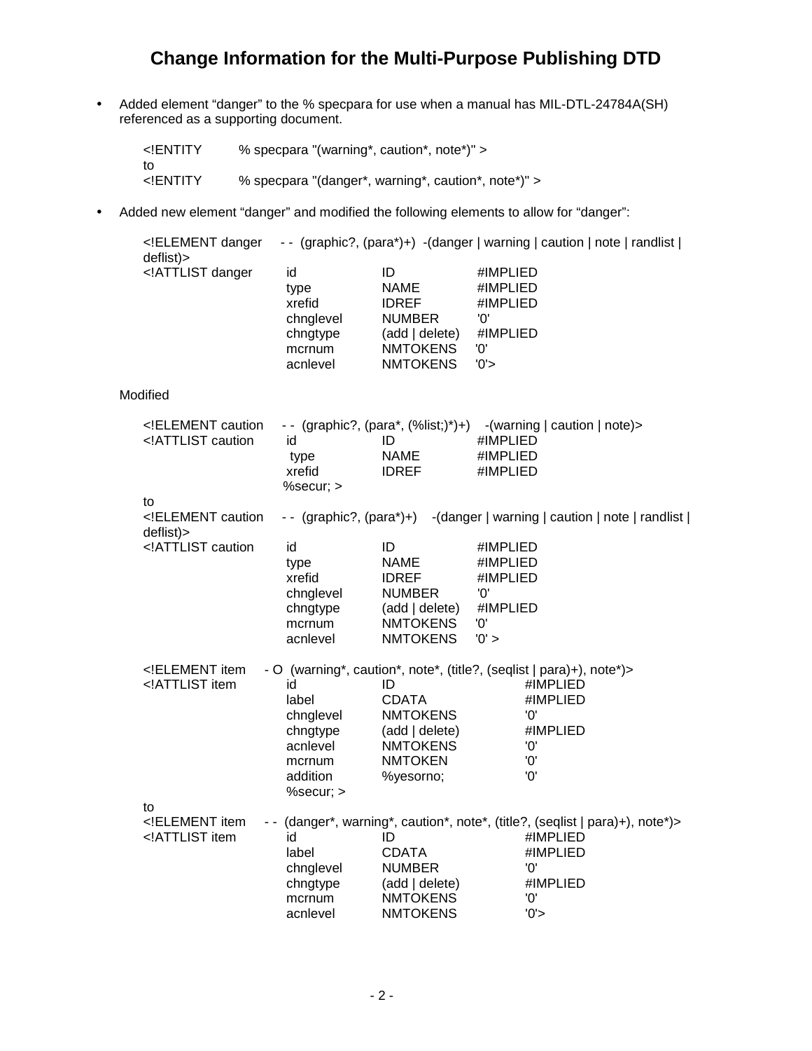• Added element "danger" to the % specpara for use when a manual has MIL-DTL-24784A(SH) referenced as a supporting document.

| ENTITY</th <th>% specpara "(warning*, caution*, note*)" &gt;</th>                | % specpara "(warning*, caution*, note*)" >          |
|----------------------------------------------------------------------------------|-----------------------------------------------------|
| to<br>ENTITY</td <td>% specpara "(danger*, warning*, caution*, note*)" &gt;</td> | % specpara "(danger*, warning*, caution*, note*)" > |

• Added new element "danger" and modified the following elements to allow for "danger":

| ELEMENT danger<br deflist)>                                                                                                                                                                                                                                                                                                                                                                                              |                                                                                     |                                                                                                            | -- (graphic?, (para*)+) -(danger   warning   caution   note   randlist                                                                |
|--------------------------------------------------------------------------------------------------------------------------------------------------------------------------------------------------------------------------------------------------------------------------------------------------------------------------------------------------------------------------------------------------------------------------|-------------------------------------------------------------------------------------|------------------------------------------------------------------------------------------------------------|---------------------------------------------------------------------------------------------------------------------------------------|
| ATTLIST danger</td <td>id<br/>type<br/>xrefid<br/>chnglevel<br/>chngtype<br/>mcrnum<br/>acnlevel</td> <td>ID<br/><b>NAME</b><br/><b>IDREF</b><br/><b>NUMBER</b><br/>(add   delete)<br/><b>NMTOKENS</b><br/><b>NMTOKENS</b></td> <td>#IMPLIED<br/>#IMPLIED<br/>#IMPLIED<br/>'0'<br/>#IMPLIED<br/>'0'<br/>'0'</td>                                                                                                         | id<br>type<br>xrefid<br>chnglevel<br>chngtype<br>mcrnum<br>acnlevel                 | ID<br><b>NAME</b><br><b>IDREF</b><br><b>NUMBER</b><br>(add   delete)<br><b>NMTOKENS</b><br><b>NMTOKENS</b> | #IMPLIED<br>#IMPLIED<br>#IMPLIED<br>'0'<br>#IMPLIED<br>'0'<br>'0'                                                                     |
| Modified                                                                                                                                                                                                                                                                                                                                                                                                                 |                                                                                     |                                                                                                            |                                                                                                                                       |
| ELEMENT caution<br ATTLIST caution</td <td>id<br/>type<br/>xrefid<br/>%secur; &gt;</td> <td>ID<br/><b>NAME</b><br/><b>IDREF</b></td> <td>-- (graphic?, (para*, (%list;)*)+) -(warning   caution   note) &gt;<br/>#IMPLIED<br/>#IMPLIED<br/>#IMPLIED</td>                                                                                                                                                                 | id<br>type<br>xrefid<br>%secur; >                                                   | ID<br><b>NAME</b><br><b>IDREF</b>                                                                          | -- (graphic?, (para*, (%list;)*)+) -(warning   caution   note) ><br>#IMPLIED<br>#IMPLIED<br>#IMPLIED                                  |
| to<br>ELEMENT caution<br deflist)>                                                                                                                                                                                                                                                                                                                                                                                       |                                                                                     |                                                                                                            | -- (graphic?, (para*)+) -(danger   warning   caution   note   randlist                                                                |
| ATTLIST caution</td <td>id<br/>type<br/>xrefid<br/>chnglevel<br/>chngtype<br/>mcrnum<br/>acnlevel</td> <td>ID<br/><b>NAME</b><br/><b>IDREF</b><br/><b>NUMBER</b><br/>(add   delete)<br/><b>NMTOKENS</b><br/><b>NMTOKENS</b></td> <td>#IMPLIED<br/>#IMPLIED<br/>#IMPLIED<br/>'O'<br/>#IMPLIED<br/>'0'<br/>'0' &gt;</td>                                                                                                   | id<br>type<br>xrefid<br>chnglevel<br>chngtype<br>mcrnum<br>acnlevel                 | ID<br><b>NAME</b><br><b>IDREF</b><br><b>NUMBER</b><br>(add   delete)<br><b>NMTOKENS</b><br><b>NMTOKENS</b> | #IMPLIED<br>#IMPLIED<br>#IMPLIED<br>'O'<br>#IMPLIED<br>'0'<br>'0' >                                                                   |
| ELEMENT item<br ATTLIST item</td <td>id<br/>label<br/>chnglevel<br/>chngtype<br/>acnlevel<br/>mcrnum<br/>addition<br/>%secur; &gt;</td> <td>ID<br/><b>CDATA</b><br/><b>NMTOKENS</b><br/>(add   delete)<br/><b>NMTOKENS</b><br/><b>NMTOKEN</b><br/>%yesorno;</td> <td>- O (warning*, caution*, note*, (title?, (seqlist   para)+), note*)&gt;<br/>#IMPLIED<br/>#IMPLIED<br/>'0'<br/>#IMPLIED<br/>'0'<br/>'0'<br/>'O'</td> | id<br>label<br>chnglevel<br>chngtype<br>acnlevel<br>mcrnum<br>addition<br>%secur; > | ID<br><b>CDATA</b><br><b>NMTOKENS</b><br>(add   delete)<br><b>NMTOKENS</b><br><b>NMTOKEN</b><br>%yesorno;  | - O (warning*, caution*, note*, (title?, (seqlist   para)+), note*)><br>#IMPLIED<br>#IMPLIED<br>'0'<br>#IMPLIED<br>'0'<br>'0'<br>'O'  |
| to<br>ELEMENT item<br ATTLIST item</td <td>id<br/>label<br/>chnglevel<br/>chngtype<br/>mcrnum<br/>acnlevel</td> <td>ID<br/><b>CDATA</b><br/><b>NUMBER</b><br/>(add   delete)<br/><b>NMTOKENS</b><br/><b>NMTOKENS</b></td> <td>-- (danger*, warning*, caution*, note*, (title?, (seqlist   para)+), note*)&gt;<br/>#IMPLIED<br/>#IMPLIED<br/>'0'<br/>#IMPLIED<br/>'O'<br/>'0'</td>                                        | id<br>label<br>chnglevel<br>chngtype<br>mcrnum<br>acnlevel                          | ID<br><b>CDATA</b><br><b>NUMBER</b><br>(add   delete)<br><b>NMTOKENS</b><br><b>NMTOKENS</b>                | -- (danger*, warning*, caution*, note*, (title?, (seqlist   para)+), note*)><br>#IMPLIED<br>#IMPLIED<br>'0'<br>#IMPLIED<br>'O'<br>'0' |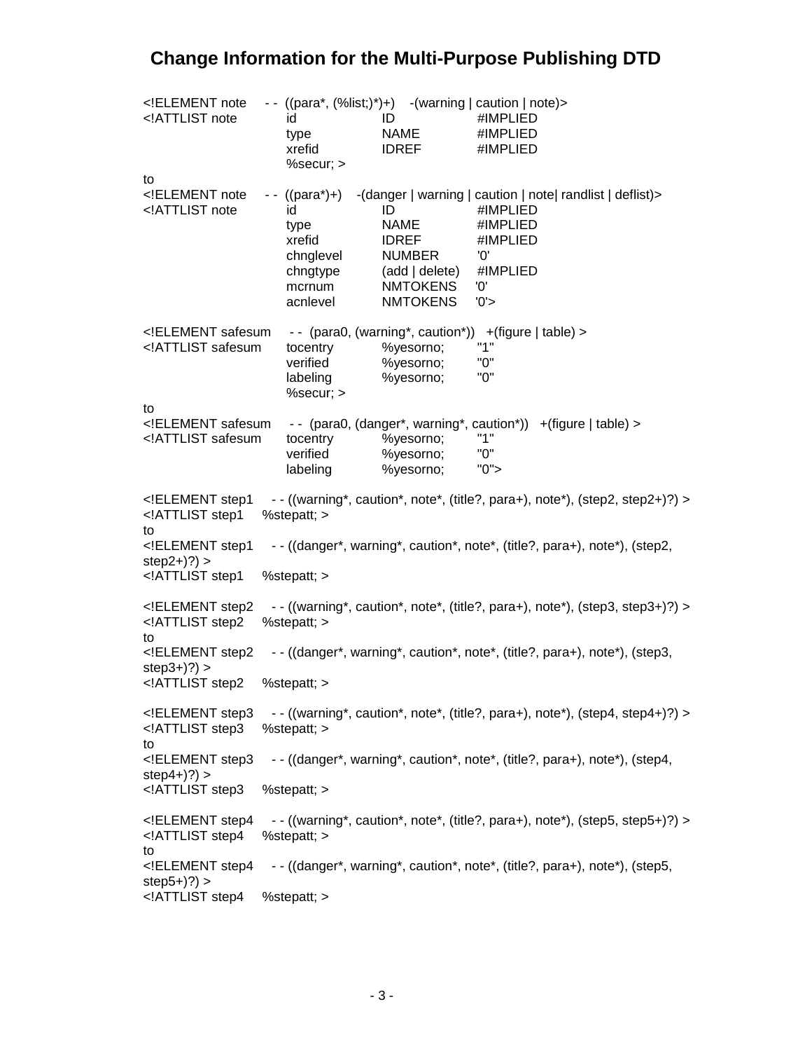| ELEMENT note<br ATTLIST note</th <th>id<br/>type<br/>xrefid<br/>%secur; &gt;</th> <th>ID<br/><b>NAME</b><br/><b>IDREF</b></th> <th>-- <math>((para^*, (%list; )^*)+)</math> -(warning   caution   note)&gt;<br/>#IMPLIED<br/>#IMPLIED<br/>#IMPLIED</th>                                                                                                                                                                             | id<br>type<br>xrefid<br>%secur; >                                                     | ID<br><b>NAME</b><br><b>IDREF</b>                                                                          | -- $((para^*, (%list; )^*)+)$ -(warning   caution   note)><br>#IMPLIED<br>#IMPLIED<br>#IMPLIED                                                            |
|-------------------------------------------------------------------------------------------------------------------------------------------------------------------------------------------------------------------------------------------------------------------------------------------------------------------------------------------------------------------------------------------------------------------------------------|---------------------------------------------------------------------------------------|------------------------------------------------------------------------------------------------------------|-----------------------------------------------------------------------------------------------------------------------------------------------------------|
| to<br>ELEMENT note<br ATTLIST note</td <td><math>-</math> ((para*)+)<br/>id<br/>type<br/>xrefid<br/>chnglevel<br/>chngtype<br/>mcrnum<br/>acnlevel</td> <td>ID<br/><b>NAME</b><br/><b>IDREF</b><br/><b>NUMBER</b><br/>(add   delete)<br/><b>NMTOKENS</b><br/><b>NMTOKENS</b></td> <td>-(danger   warning   caution   note  randlist   deflist)&gt;<br/>#IMPLIED<br/>#IMPLIED<br/>#IMPLIED<br/>'0'<br/>#IMPLIED<br/>'0'<br/>'0'</td> | $-$ ((para*)+)<br>id<br>type<br>xrefid<br>chnglevel<br>chngtype<br>mcrnum<br>acnlevel | ID<br><b>NAME</b><br><b>IDREF</b><br><b>NUMBER</b><br>(add   delete)<br><b>NMTOKENS</b><br><b>NMTOKENS</b> | -(danger   warning   caution   note  randlist   deflist)><br>#IMPLIED<br>#IMPLIED<br>#IMPLIED<br>'0'<br>#IMPLIED<br>'0'<br>'0'                            |
| ELEMENT safesum<br ATTLIST safesum</td <td>tocentry<br/>verified<br/>labeling<br/>%secur; &gt;</td> <td>%yesorno;<br/>%yesorno;<br/>%yesorno;</td> <td>-- (para0, (warning*, caution*)) +(figure   table) &gt;<br/>"1"<br/>"О"<br/>"0"</td>                                                                                                                                                                                         | tocentry<br>verified<br>labeling<br>%secur; >                                         | %yesorno;<br>%yesorno;<br>%yesorno;                                                                        | -- (para0, (warning*, caution*)) +(figure   table) ><br>"1"<br>"О"<br>"0"                                                                                 |
| to<br>ELEMENT safesum<br ATTLIST safesum</td <td>tocentry<br/>verified<br/>labeling</td> <td>%yesorno;<br/>%yesorno;<br/>%yesorno;</td> <td>-- (para0, (danger*, warning*, caution*)) +(figure   table) &gt;<br/>"1"<br/>"О"<br/>"0"</td>                                                                                                                                                                                           | tocentry<br>verified<br>labeling                                                      | %yesorno;<br>%yesorno;<br>%yesorno;                                                                        | -- (para0, (danger*, warning*, caution*)) +(figure   table) ><br>"1"<br>"О"<br>"0"                                                                        |
| ELEMENT step1<br ATTLIST step1<br to<br>ELEMENT step1<br $step2+$ ?) ><br>ATTLIST step1</td <td>%stepatt; &gt;<br/>%stepatt; &gt;</td> <td></td> <td>-- ((warning*, caution*, note*, (title?, para+), note*), (step2, step2+)?) &gt;<br/>-- ((danger*, warning*, caution*, note*, (title?, para+), note*), (step2,</td>                                                                                                             | %stepatt; ><br>%stepatt; >                                                            |                                                                                                            | -- ((warning*, caution*, note*, (title?, para+), note*), (step2, step2+)?) ><br>-- ((danger*, warning*, caution*, note*, (title?, para+), note*), (step2, |
| ELEMENT step2<br ATTLIST step2<br to                                                                                                                                                                                                                                                                                                                                                                                                | %stepatt; >                                                                           |                                                                                                            | $-$ ((warning*, caution*, note*, (title?, para+), note*), (step3, step3+)?) >                                                                             |
| ELEMENT step2<br $step3+)$ ?) ><br>ATTLIST step2</td <td>%stepatt; &gt;</td> <td></td> <td>-- ((danger*, warning*, caution*, note*, (title?, para+), note*), (step3,</td>                                                                                                                                                                                                                                                           | %stepatt; >                                                                           |                                                                                                            | -- ((danger*, warning*, caution*, note*, (title?, para+), note*), (step3,                                                                                 |
| ELEMENT step3<br ATTLIST step3</td <td>%stepatt; &gt;</td> <td></td> <td><math>-</math> ((warning*, caution*, note*, (title?, para+), note*), (step4, step4+)?) &gt;</td>                                                                                                                                                                                                                                                           | %stepatt; >                                                                           |                                                                                                            | $-$ ((warning*, caution*, note*, (title?, para+), note*), (step4, step4+)?) >                                                                             |
| to<br>ELEMENT step3<br $step4+)$ ?) >                                                                                                                                                                                                                                                                                                                                                                                               |                                                                                       |                                                                                                            | -- ((danger*, warning*, caution*, note*, (title?, para+), note*), (step4,                                                                                 |
| ATTLIST step3</td <td>%stepatt; &gt;</td> <td></td> <td></td>                                                                                                                                                                                                                                                                                                                                                                       | %stepatt; >                                                                           |                                                                                                            |                                                                                                                                                           |
| ELEMENT step4<br ATTLIST step4<br to                                                                                                                                                                                                                                                                                                                                                                                                | %stepatt; >                                                                           |                                                                                                            | $-$ ((warning*, caution*, note*, (title?, para+), note*), (step5, step5+)?) >                                                                             |
| ELEMENT step4<br $step5+)$ ?) >                                                                                                                                                                                                                                                                                                                                                                                                     |                                                                                       |                                                                                                            | -- ((danger*, warning*, caution*, note*, (title?, para+), note*), (step5,                                                                                 |
| ATTLIST step4</td <td>%stepatt; &gt;</td> <td></td> <td></td>                                                                                                                                                                                                                                                                                                                                                                       | %stepatt; >                                                                           |                                                                                                            |                                                                                                                                                           |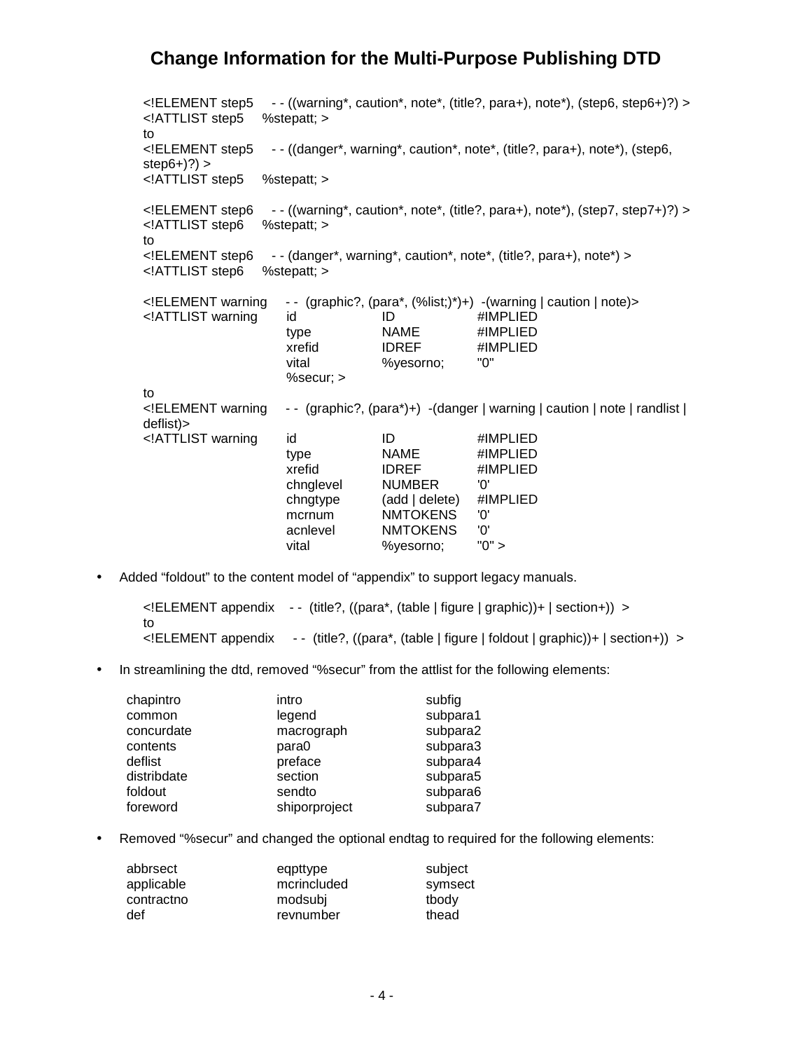<!ELEMENT step5 - - ((warning\*, caution\*, note\*, (title?, para+), note\*), (step6, step6+)?) > <!ATTLIST step5 %stepatt; > to <!ELEMENT step5 - - ((danger\*, warning\*, caution\*, note\*, (title?, para+), note\*), (step6, step $6+$  $?)$  > <!ATTLIST step5 %stepatt; > <!ELEMENT step6 - - ((warning\*, caution\*, note\*, (title?, para+), note\*), (step7, step7+)?) ><br><!ATTLIST step6 %stepatt; > <! ATTLIST step6 to <!ELEMENT step6 - - (danger\*, warning\*, caution\*, note\*, (title?, para+), note\*) > <!ATTLIST step6 %stepatt; > <!ELEMENT warning - - (graphic?, (para\*, (%list;)\*)+) -(warning | caution | note)> <!ATTLIST warning id ID #IMPLIED type NAME #IMPLIED xrefid IDREF #IMPLIED vital %yesorno; "0" %secur; > to <!ELEMENT warning - - (graphic?, (para\*)+) -(danger | warning | caution | note | randlist | deflist)> <!ATTLIST warning id ID #IMPLIED type NAME #IMPLIED xrefid IDREF #IMPLIED chnglevel NUMBER '0'<br>
chngtype (add | delete) #IMPLIED  $chngtype$   $(add | delete)$  mcrnum NMTOKENS '0' acnlevel NMTOKENS '0' vital %yesorno; "0" >

• Added "foldout" to the content model of "appendix" to support legacy manuals.

<!ELEMENT appendix - - (title?, ((para\*, (table | figure | graphic))+ | section+)) > to <!ELEMENT appendix - - (title?, ((para\*, (table | figure | foldout | graphic))+ | section+)) >

In streamlining the dtd, removed "%secur" from the attlist for the following elements:

| chapintro   | intro         | subfig   |
|-------------|---------------|----------|
| common      | legend        | subpara1 |
| concurdate  | macrograph    | subpara2 |
| contents    | para0         | subpara3 |
| deflist     | preface       | subpara4 |
| distribdate | section       | subpara5 |
| foldout     | sendto        | subpara6 |
| foreword    | shiporproject | subpara7 |

• Removed "%secur" and changed the optional endtag to required for the following elements:

| abbrsect   | eqpttype    | subject |
|------------|-------------|---------|
| applicable | mcrincluded | symsect |
| contractno | modsubi     | tbody   |
| def        | revnumber   | thead   |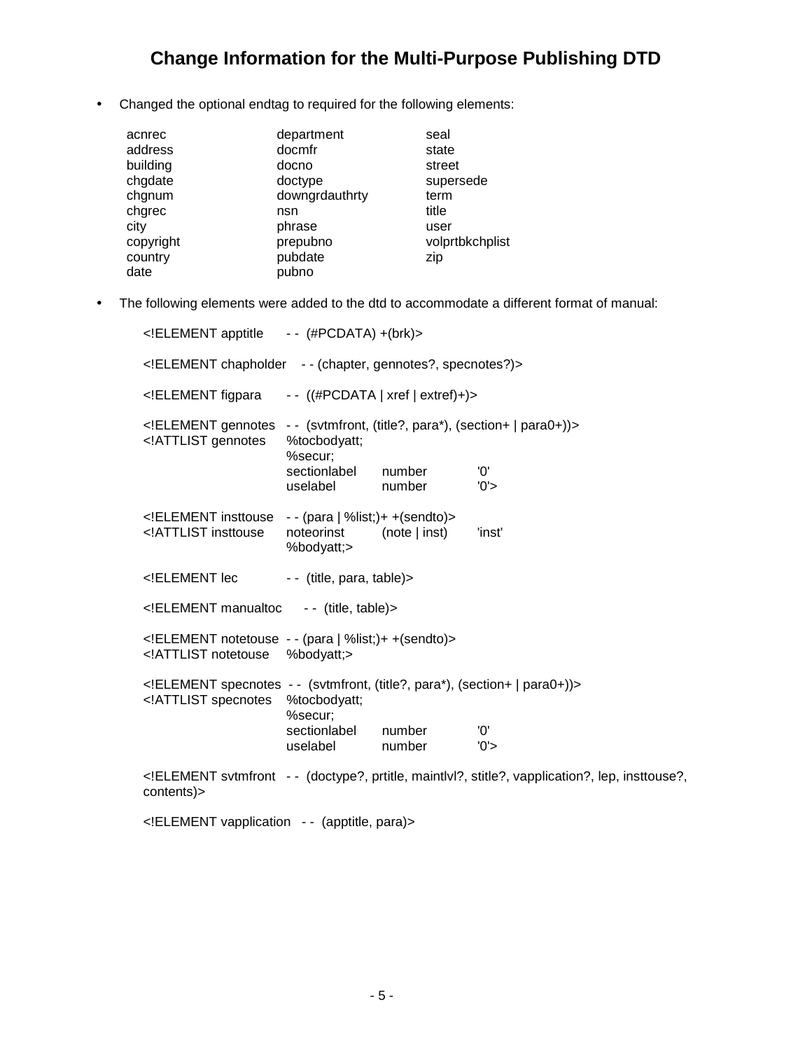• Changed the optional endtag to required for the following elements:

| acnrec    | department     | seal            |
|-----------|----------------|-----------------|
| address   | docmfr         | state           |
| building  | docno          | street          |
| chgdate   | doctype        | supersede       |
| chgnum    | downgrdauthrty | term            |
| chgrec    | nsn            | title           |
| city      | phrase         | user            |
| copyright | prepubno       | volprtbkchplist |
| country   | pubdate        | zip             |
| date      | pubno          |                 |

• The following elements were added to the dtd to accommodate a different format of manual:

| ELEMENT apptitle -- (#PCDATA) +(brk)                                                                                                                                                                                  |                                                     |                                     |                                                                                                  |  |  |  |
|-----------------------------------------------------------------------------------------------------------------------------------------------------------------------------------------------------------------------|-----------------------------------------------------|-------------------------------------|--------------------------------------------------------------------------------------------------|--|--|--|
| ELEMENT chapholder -- (chapter, gennotes?, specnotes?)                                                                                                                                                                |                                                     |                                     |                                                                                                  |  |  |  |
| ELEMENT figpara</td <td></td> <td>--<math>((\#PCDATA   xref   extref)+ )</math></td> <td></td>                                                                                                                        |                                                     | -- $((\#PCDATA   xref   extref)+ )$ |                                                                                                  |  |  |  |
| ELEMENT gennotes<br ATTLIST gennotes</td <td>%tocbodyatt;<br/>%secur;<br/>sectionlabel<br/>uselabel</td> <td>number<br/>number</td> <td>-- (svtmfront, (title?, para*), (section+   para0+))&gt;<br/>'0'<br/>'0'</td> | %tocbodyatt;<br>%secur;<br>sectionlabel<br>uselabel | number<br>number                    | -- (svtmfront, (title?, para*), (section+   para0+))><br>'0'<br>'0'                              |  |  |  |
| ELEMENT insttouse<br ATTLIST insttouse</th <th><math>-</math> (para   %list;) + + (sendto) &gt;<br/>noteorinst</th> <th>(note   inst)</th> <th>'inst'</th>                                                            | $-$ (para   %list;) + + (sendto) ><br>noteorinst    | (note   inst)                       | 'inst'                                                                                           |  |  |  |
| ELEMENT lec</td <td>%bodyatt;&gt;<br/>-- (title, para, table) &gt;</td> <td></td> <td></td>                                                                                                                           | %bodyatt;><br>-- (title, para, table) >             |                                     |                                                                                                  |  |  |  |
| ELEMENT manualtoc -- (title, table)                                                                                                                                                                                   |                                                     |                                     |                                                                                                  |  |  |  |
| ELEMENT notetouse -- (para   %list;)+ +(sendto)<br>ATTLIST notetouse</td <td>%bodyatt;&gt;</td> <td></td> <td></td>                                                                                                   | %bodyatt;>                                          |                                     |                                                                                                  |  |  |  |
| ELEMENT specnotes - - (svtmfront, (title?, para*), (section+   para0+))<br>ATTLIST specnotes</td <td>%tocbodyatt;<br/>%secur;</td> <td></td> <td></td>                                                                | %tocbodyatt;<br>%secur;                             |                                     |                                                                                                  |  |  |  |
|                                                                                                                                                                                                                       | sectionlabel<br>uselabel                            | number<br>number                    | '0'<br>'0'                                                                                       |  |  |  |
| contents)>                                                                                                                                                                                                            |                                                     |                                     | ELEMENT svtmfront -- (doctype?, prtitle, maintlyl?, stitle?, vapplication?, lep, insttouse?,</td |  |  |  |
|                                                                                                                                                                                                                       |                                                     |                                     |                                                                                                  |  |  |  |

<!ELEMENT vapplication - - (apptitle, para)>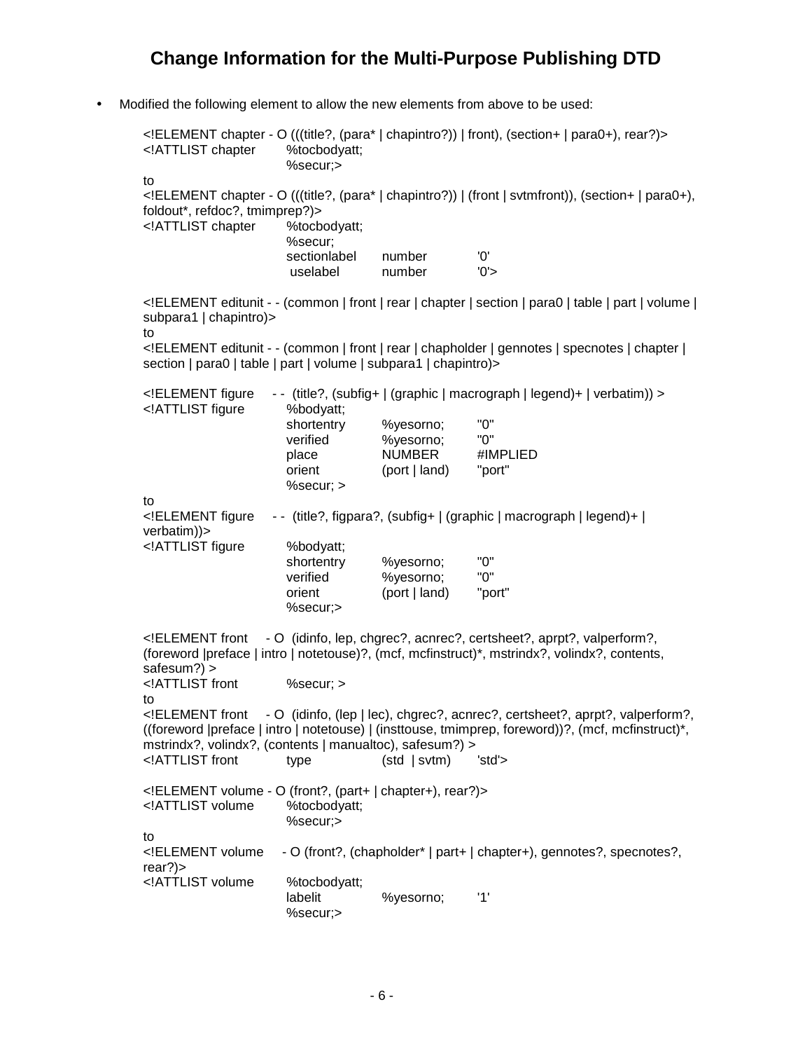• Modified the following element to allow the new elements from above to be used:

<!ELEMENT chapter - O (((title?, (para\* | chapintro?)) | front), (section+ | para0+), rear?)> <!ATTLIST chapter %tocbodyatt; %secur;> to <!ELEMENT chapter - O (((title?, (para\* | chapintro?)) | (front | svtmfront)), (section+ | para0+), foldout\*, refdoc?, tmimprep?)> <!ATTLIST chapter %tocbodyatt; %secur; sectionlabel number '0'<br>uselabel number '0'> uselabel number <!ELEMENT editunit - - (common | front | rear | chapter | section | para0 | table | part | volume | subpara1 | chapintro)> to <!ELEMENT editunit - - (common | front | rear | chapholder | gennotes | specnotes | chapter | section | para0 | table | part | volume | subpara1 | chapintro) > <!ELEMENT figure - - (title?, (subfig+ | (graphic | macrograph | legend)+ | verbatim)) > <!ATTLIST figure %bodyatt; shortentry %yesorno; "0" verified %yesorno; "0" place NUMBER #IMPLIED orient (port | land) "port" %secur; > to <!ELEMENT figure - - (title?, figpara?, (subfig+ | (graphic | macrograph | legend)+ | verbatim))> <!ATTLIST figure %bodyatt; shortentry %yesorno; "0"<br>verified %yesorno: "0" verified %yesorno; orient (port | land) "port" %secur;> <!ELEMENT front - O (idinfo, lep, chgrec?, acnrec?, certsheet?, aprpt?, valperform?, (foreword |preface | intro | notetouse)?, (mcf, mcfinstruct)\*, mstrindx?, volindx?, contents, safesum?) > <!ATTLIST front %secur; > to <!ELEMENT front - O (idinfo, (lep | lec), chgrec?, acnrec?, certsheet?, aprpt?, valperform?, ((foreword |preface | intro | notetouse) | (insttouse, tmimprep, foreword))?, (mcf, mcfinstruct)\*, mstrindx?, volindx?, (contents | manualtoc), safesum?) > <!ATTLIST front type (std | svtm) 'std'> <!ELEMENT volume - O (front?, (part+ | chapter+), rear?)> <!ATTLIST volume %tocbodyatt; %secur;> to <!ELEMENT volume - O (front?, (chapholder\* | part+ | chapter+), gennotes?, specnotes?, rear?)> <!ATTLIST volume %tocbodyatt; labelit %yesorno; '1' %secur;>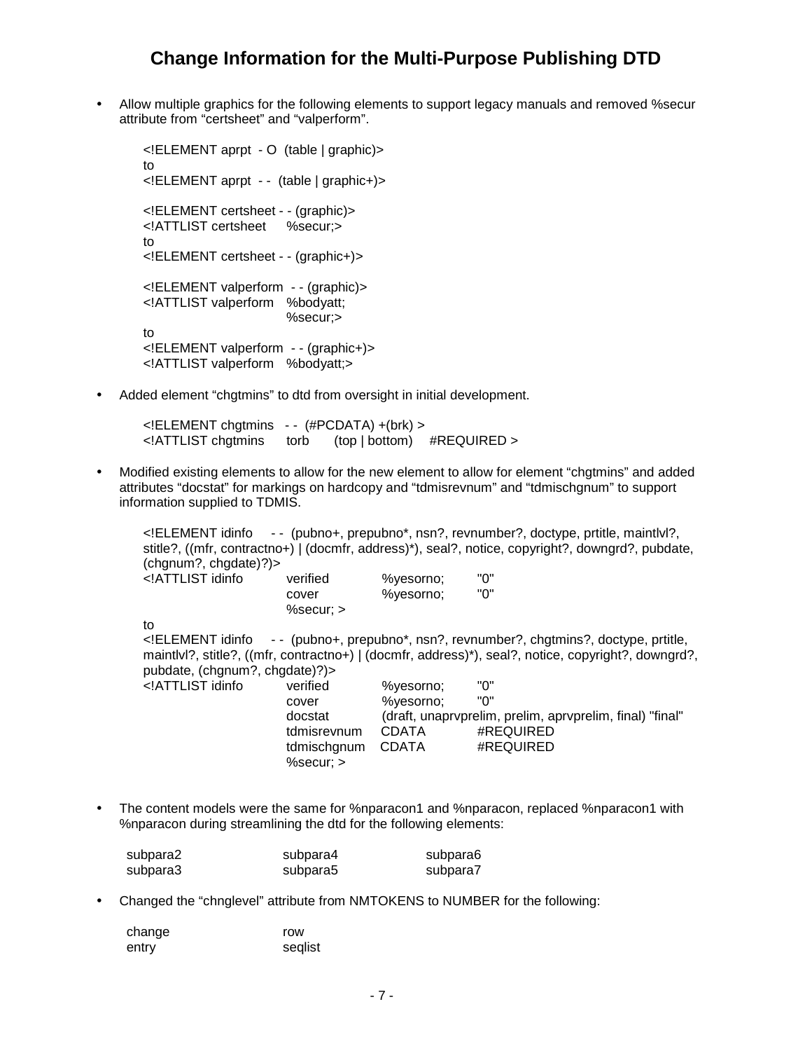• Allow multiple graphics for the following elements to support legacy manuals and removed %secur attribute from "certsheet" and "valperform".

```
<!ELEMENT aprpt - O (table | graphic)>
to
<!ELEMENT aprpt - - (table | graphic+)>
<!ELEMENT certsheet - - (graphic)>
<!ATTLIST certsheet %secur;>
to
<!ELEMENT certsheet - - (graphic+)>
<!ELEMENT valperform - - (graphic)>
<!ATTLIST valperform %bodyatt;
                       %secur;>
to
<!ELEMENT valperform - - (graphic+)>
<!ATTLIST valperform %bodyatt;>
```
• Added element "chgtmins" to dtd from oversight in initial development.

<!ELEMENT chgtmins - - (#PCDATA) +(brk) > <!ATTLIST chgtmins torb (top | bottom) #REQUIRED >

• Modified existing elements to allow for the new element to allow for element "chgtmins" and added attributes "docstat" for markings on hardcopy and "tdmisrevnum" and "tdmischgnum" to support information supplied to TDMIS.

<!ELEMENT idinfo - - (pubno+, prepubno\*, nsn?, revnumber?, doctype, prtitle, maintlvl?, stitle?, ((mfr, contractno+) | (docmfr, address)\*), seal?, notice, copyright?, downgrd?, pubdate, (chgnum?, chgdate)?)> <!ATTLIST idinfo verified %yesorno; "0" cover %yesorno; "0" %secur; > to <!ELEMENT idinfo - - (pubno+, prepubno\*, nsn?, revnumber?, chgtmins?, doctype, prtitle, maintlvl?, stitle?, ((mfr, contractno+) | (docmfr, address)\*), seal?, notice, copyright?, downgrd?, pubdate, (chgnum?, chgdate)?)> <!ATTLIST idinfo verified %yesorno; "0" cover %yesorno; docstat (draft, unaprvprelim, prelim, aprvprelim, final) "final" tdmisrevnum CDATA #REQUIRED tdmischgnum CDATA #REQUIRED %secur; >

• The content models were the same for %nparacon1 and %nparacon, replaced %nparacon1 with %nparacon during streamlining the dtd for the following elements:

| subpara2 | subpara4 | subpara6 |
|----------|----------|----------|
| subpara3 | subpara5 | subpara7 |

• Changed the "chnglevel" attribute from NMTOKENS to NUMBER for the following:

| change | row     |
|--------|---------|
| entry  | seglist |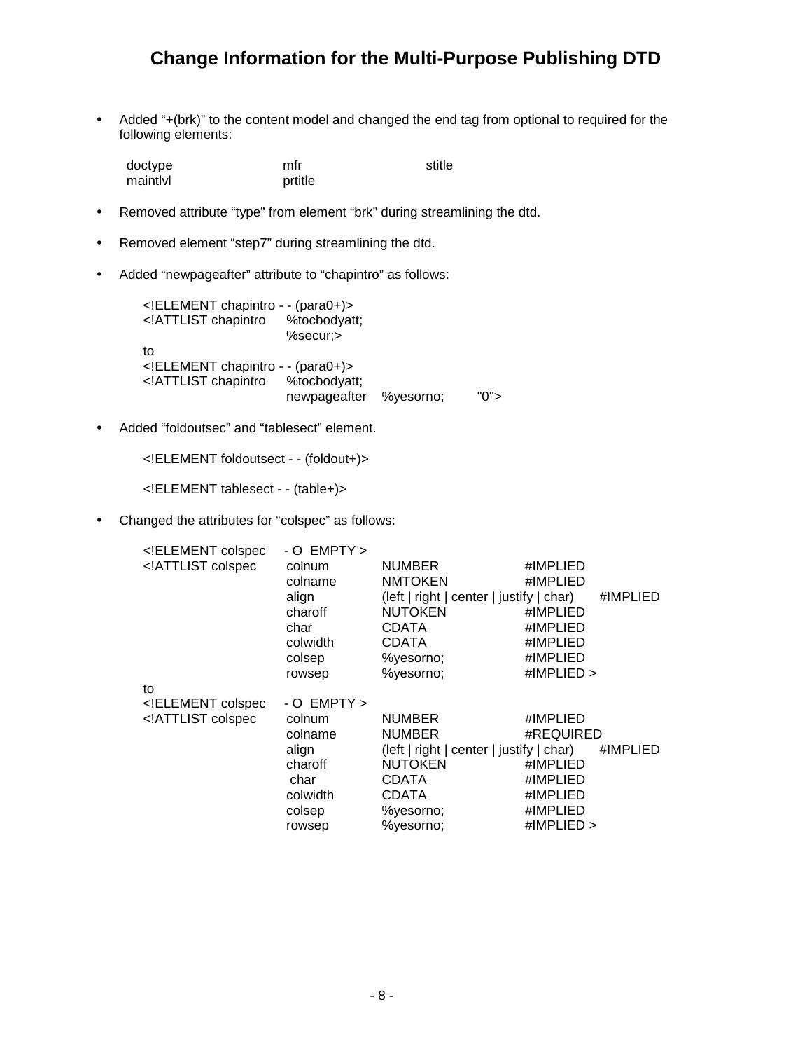• Added "+(brk)" to the content model and changed the end tag from optional to required for the following elements:

| doctype  | mfr     | stitle |
|----------|---------|--------|
| maintlyl | prtitle |        |

- Removed attribute "type" from element "brk" during streamlining the dtd.
- Removed element "step7" during streamlining the dtd.
- Added "newpageafter" attribute to "chapintro" as follows:

<!ELEMENT chapintro - - (para0+)> <! ATTLIST chapintro %secur;> to <!ELEMENT chapintro - - (para0+)> <!ATTLIST chapintro %tocbodyatt; newpageafter %yesorno; "0">

• Added "foldoutsec" and "tablesect" element.

```
<!ELEMENT foldoutsect - - (foldout+)>
```
<!ELEMENT tablesect - - (table+)>

• Changed the attributes for "colspec" as follows:

| ELEMENT colspec</th <th><math>-</math> O EMPTY <math>&gt;</math></th> <th></th> <th></th> <th></th> | $-$ O EMPTY $>$ |                                            |              |  |
|-----------------------------------------------------------------------------------------------------|-----------------|--------------------------------------------|--------------|--|
| ATTLIST colspec</td <td>colnum</td> <td><b>NUMBER</b></td> <td>#IMPLIED</td> <td></td>              | colnum          | <b>NUMBER</b>                              | #IMPLIED     |  |
|                                                                                                     | colname         | <b>NMTOKEN</b>                             | #IMPLIED     |  |
|                                                                                                     | align           | $(left   right   center   justify   char)$ | #IMPLIED     |  |
|                                                                                                     | charoff         | <b>NUTOKEN</b>                             | #IMPLIED     |  |
|                                                                                                     | char            | <b>CDATA</b>                               | #IMPLIED     |  |
|                                                                                                     | colwidth        | CDATA                                      | #IMPLIED     |  |
|                                                                                                     | colsep          | %yesorno;                                  | #IMPLIED     |  |
|                                                                                                     | rowsep          | %yesorno;                                  | #IMPLIED $>$ |  |
| to                                                                                                  |                 |                                            |              |  |
| ELEMENT colspec</td <td><math>-</math> O EMPTY <math>&gt;</math></td> <td></td> <td></td> <td></td> | $-$ O EMPTY $>$ |                                            |              |  |
| ATTLIST colspec</td <td>colnum</td> <td><b>NUMBER</b></td> <td>#IMPLIED</td> <td></td>              | colnum          | <b>NUMBER</b>                              | #IMPLIED     |  |
|                                                                                                     | colname         | <b>NUMBER</b>                              | #REQUIRED    |  |
|                                                                                                     | align           | $(left   right   center   justify   char)$ | #IMPLIED     |  |
|                                                                                                     | charoff         | <b>NUTOKEN</b>                             | #IMPLIED     |  |
|                                                                                                     | char            | <b>CDATA</b>                               | #IMPLIED     |  |
|                                                                                                     | colwidth        | <b>CDATA</b>                               | #IMPLIED     |  |
|                                                                                                     | colsep          | %yesorno;                                  | #IMPLIED     |  |
|                                                                                                     | rowsep          | %yesorno;                                  | #IMPLIED $>$ |  |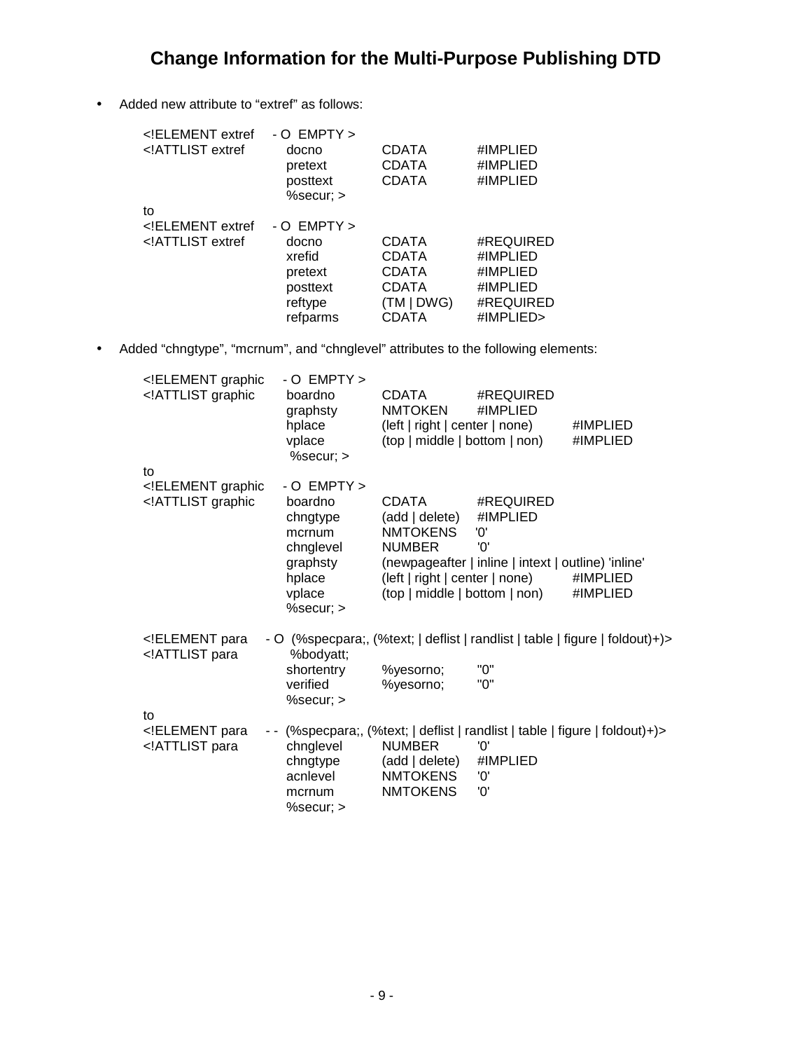• Added new attribute to "extref" as follows:

| ELEMENT extref<br ATTLIST extref</th <th><math> \Omega</math> EMPTY <math>&gt;</math><br/>docno<br/>pretext<br/>posttext<br/><math>%</math>secur; <math>&gt;</math></th> <th><b>CDATA</b><br/>CDATA<br/><b>CDATA</b></th> <th>#IMPLIED<br/>#IMPLIED<br/>#IMPLIED</th> | $ \Omega$ EMPTY $>$<br>docno<br>pretext<br>posttext<br>$%$ secur; $>$ | <b>CDATA</b><br>CDATA<br><b>CDATA</b> | #IMPLIED<br>#IMPLIED<br>#IMPLIED |
|-----------------------------------------------------------------------------------------------------------------------------------------------------------------------------------------------------------------------------------------------------------------------|-----------------------------------------------------------------------|---------------------------------------|----------------------------------|
| to                                                                                                                                                                                                                                                                    |                                                                       |                                       |                                  |
| ELEMENT extref</td <td><math>-0</math> EMPTY <math>&gt;</math></td> <td></td> <td></td>                                                                                                                                                                               | $-0$ EMPTY $>$                                                        |                                       |                                  |
| ATTLIST extref</td <td>docno</td> <td><b>CDATA</b></td> <td>#REQUIRED</td>                                                                                                                                                                                            | docno                                                                 | <b>CDATA</b>                          | #REQUIRED                        |
|                                                                                                                                                                                                                                                                       | xrefid                                                                | <b>CDATA</b>                          | #IMPLIED                         |
|                                                                                                                                                                                                                                                                       | pretext                                                               | <b>CDATA</b>                          | #IMPLIED                         |
|                                                                                                                                                                                                                                                                       | posttext                                                              | CDATA                                 | #IMPLIED                         |
|                                                                                                                                                                                                                                                                       | reftype                                                               | (TM   DWG)                            | #REQUIRED                        |
|                                                                                                                                                                                                                                                                       | refparms                                                              | CDATA                                 | #IMPLIED>                        |

• Added "chngtype", "mcrnum", and "chnglevel" attributes to the following elements:

| ELEMENT graphic<br ATTLIST graphic</th <th><math>-0</math> EMPTY <math>&gt;</math><br/>boardno<br/>graphsty<br/>hplace<br/>vplace<br/>%secur; &gt;</th> <th><b>CDATA</b><br/><b>NMTOKEN</b><br/>(left   right   center   none)<br/>(top   middle   bottom   non)</th> <th>#REQUIRED<br/>#IMPLIED</th> <th>#IMPLIED<br/>#IMPLIED</th>                                                                                                                                  | $-0$ EMPTY $>$<br>boardno<br>graphsty<br>hplace<br>vplace<br>%secur; >                                 | <b>CDATA</b><br><b>NMTOKEN</b><br>(left   right   center   none)<br>(top   middle   bottom   non) | #REQUIRED<br>#IMPLIED                                                                                                                                         | #IMPLIED<br>#IMPLIED                                                         |
|-----------------------------------------------------------------------------------------------------------------------------------------------------------------------------------------------------------------------------------------------------------------------------------------------------------------------------------------------------------------------------------------------------------------------------------------------------------------------|--------------------------------------------------------------------------------------------------------|---------------------------------------------------------------------------------------------------|---------------------------------------------------------------------------------------------------------------------------------------------------------------|------------------------------------------------------------------------------|
| to<br>ELEMENT graphic<br ATTLIST graphic</td <td>- O EMPTY &gt;<br/>boardno<br/>chngtype<br/>mcrnum<br/>chnglevel<br/>graphsty<br/>hplace<br/>vplace<br/>%secur; &gt;</td> <td><b>CDATA</b><br/>(add   delete)<br/><b>NMTOKENS</b><br/><b>NUMBER</b></td> <td>#REQUIRED<br/>#IMPLIED<br/>'0'<br/>'0'<br/>(newpageafter   inline   intext   outline) 'inline'<br/>(left   right   center   none)<br/>(top   middle   bottom   non)</td> <td>#IMPLIED<br/>#IMPLIED</td> | - O EMPTY ><br>boardno<br>chngtype<br>mcrnum<br>chnglevel<br>graphsty<br>hplace<br>vplace<br>%secur; > | <b>CDATA</b><br>(add   delete)<br><b>NMTOKENS</b><br><b>NUMBER</b>                                | #REQUIRED<br>#IMPLIED<br>'0'<br>'0'<br>(newpageafter   inline   intext   outline) 'inline'<br>(left   right   center   none)<br>(top   middle   bottom   non) | #IMPLIED<br>#IMPLIED                                                         |
| ELEMENT para<br ATTLIST para</td <td>%bodyatt;<br/>shortentry<br/>verified<br/><math>%</math>secur; <math>&gt;</math></td> <td>%yesorno;<br/>%yesorno;</td> <td>"0"<br/>"0"</td> <td>- O (%specpara;, (%text;   deflist   randlist   table   figure   foldout)+)&gt;</td>                                                                                                                                                                                             | %bodyatt;<br>shortentry<br>verified<br>$%$ secur; $>$                                                  | %yesorno;<br>%yesorno;                                                                            | "0"<br>"0"                                                                                                                                                    | - O (%specpara;, (%text;   deflist   randlist   table   figure   foldout)+)> |
| to<br>ELEMENT para<br ATTLIST para</td <td>chnglevel<br/>chngtype<br/>acnlevel<br/>mcrnum<br/><math>%</math>secur; <math>&gt;</math></td> <td><b>NUMBER</b><br/>(add   delete)<br/><b>NMTOKENS</b><br/><b>NMTOKENS</b></td> <td>'0'<br/>#IMPLIED<br/>'0'<br/>'0'</td> <td>(%specpara;, (%text;   deflist   randlist   table   figure   foldout)+)&gt;</td>                                                                                                            | chnglevel<br>chngtype<br>acnlevel<br>mcrnum<br>$%$ secur; $>$                                          | <b>NUMBER</b><br>(add   delete)<br><b>NMTOKENS</b><br><b>NMTOKENS</b>                             | '0'<br>#IMPLIED<br>'0'<br>'0'                                                                                                                                 | (%specpara;, (%text;   deflist   randlist   table   figure   foldout)+)>     |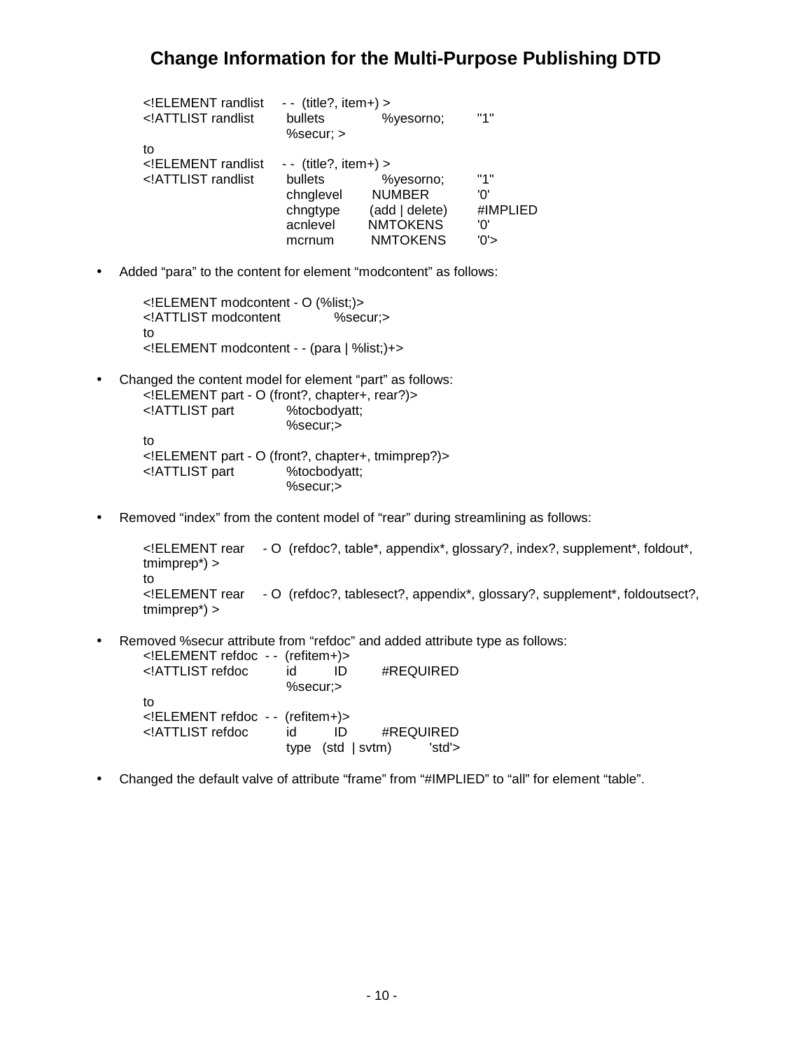| ELEMENT randlist</th <th><math>-</math> (title?, item+) &gt;</th> <th colspan="3"></th> | $-$ (title?, item+) > |                 |          |  |
|-----------------------------------------------------------------------------------------|-----------------------|-----------------|----------|--|
| ATTLIST randlist</td <td>bullets</td> <td>%yesorno:</td> <td>"1"</td>                   | bullets               | %yesorno:       | "1"      |  |
|                                                                                         | $%$ secur; $>$        |                 |          |  |
| to                                                                                      |                       |                 |          |  |
| ELEMENT randlist</td <td><math>-</math> (title?, item+) &gt;</td> <td></td> <td></td>   | $-$ (title?, item+) > |                 |          |  |
| ATTLIST randlist</td <td>bullets</td> <td>%yesorno;</td> <td>"1"</td>                   | bullets               | %yesorno;       | "1"      |  |
|                                                                                         | chnglevel             | <b>NUMBER</b>   | 'ח'      |  |
|                                                                                         | chngtype              | (add   delete)  | #IMPLIED |  |
|                                                                                         | acnlevel              | <b>NMTOKENS</b> | '0'      |  |
|                                                                                         | mcrnum                | <b>NMTOKENS</b> | '0'>     |  |
|                                                                                         |                       |                 |          |  |

• Added "para" to the content for element "modcontent" as follows:

```
<!ELEMENT modcontent - O (%list;)>
<!ATTLIST modcontent %secur;>
to
<!ELEMENT modcontent - - (para | %list;)+>
```
- Changed the content model for element "part" as follows: <!ELEMENT part - O (front?, chapter+, rear?)> <!ATTLIST part %tocbodyatt; %secur;> to <!ELEMENT part - O (front?, chapter+, tmimprep?)> <!ATTLIST part %tocbodyatt; %secur;>
- Removed "index" from the content model of "rear" during streamlining as follows:

```
<!ELEMENT rear - O (refdoc?, table*, appendix*, glossary?, index?, supplement*, foldout*,
tmimprep*) >
to
<!ELEMENT rear - O (refdoc?, tablesect?, appendix*, glossary?, supplement*, foldoutsect?,
tmimprep*) >
```
• Removed %secur attribute from "refdoc" and added attribute type as follows:

| ELEMENT refdoc - - (refitem+)                                 |          |                     |           |
|---------------------------------------------------------------|----------|---------------------|-----------|
| ATTLIST refdoc</td <td>id</td> <td></td> <td>#REQUIRED</td>   | id       |                     | #REQUIRED |
|                                                               | %secur;> |                     |           |
| tο                                                            |          |                     |           |
| ELEMENT refdoc -- (refitem+)                                  |          |                     |           |
| ATTLIST refdoc</td <td>id</td> <td>ID</td> <td>#REQUIRED</td> | id       | ID                  | #REQUIRED |
|                                                               |          | type $(std   svtm)$ | 'std'>    |

• Changed the default valve of attribute "frame" from "#IMPLIED" to "all" for element "table".